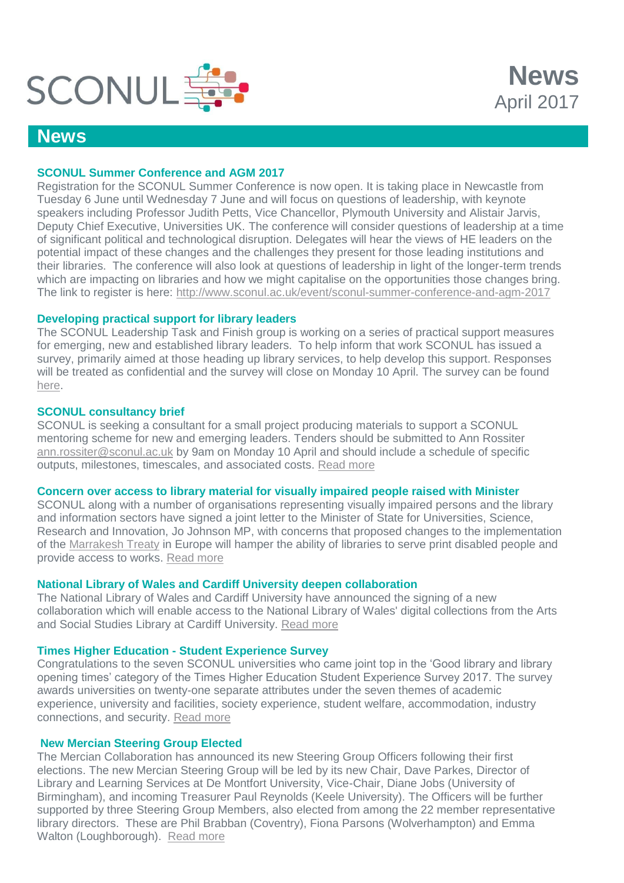

# **News**

## **SCONUL Summer Conference and AGM 2017**

Registration for the SCONUL Summer Conference is now open. It is taking place in Newcastle from Tuesday 6 June until Wednesday 7 June and will focus on questions of leadership, with keynote speakers including Professor Judith Petts, Vice Chancellor, Plymouth University and Alistair Jarvis, Deputy Chief Executive, Universities UK. The conference will consider questions of leadership at a time of significant political and technological disruption. Delegates will hear the views of HE leaders on the potential impact of these changes and the challenges they present for those leading institutions and their libraries. The conference will also look at questions of leadership in light of the longer-term trends which are impacting on libraries and how we might capitalise on the opportunities those changes bring. The link to register is here:<http://www.sconul.ac.uk/event/sconul-summer-conference-and-agm-2017>

**News**

April 2017

#### **Developing practical support for library leaders**

The SCONUL Leadership Task and Finish group is working on a series of practical support measures for emerging, new and established library leaders. To help inform that work SCONUL has issued a survey, primarily aimed at those heading up library services, to help develop this support. Responses will be treated as confidential and the survey will close on Monday 10 April. The survey can be found [here.](https://www.surveymonkey.co.uk/r/SCONULleadershipsurvey)

#### **SCONUL consultancy brief**

SCONUL is seeking a consultant for a small project producing materials to support a SCONUL mentoring scheme for new and emerging leaders. Tenders should be submitted to Ann Rossiter [ann.rossiter@sconul.ac.uk](mailto:ann.rossiter@sconul.ac.uk) by 9am on Monday 10 April and should include a schedule of specific outputs, milestones, timescales, and associated costs. [Read more](https://www.sconul.ac.uk/sites/default/files/Leadership%20TF%20Group%20Mentoring%20Scheme%20Brief.pdf.)

#### **Concern over access to library material for visually impaired people raised with Minister**

SCONUL along with a number of organisations representing visually impaired persons and the library and information sectors have signed a joint letter to the Minister of State for Universities, Science, Research and Innovation, Jo Johnson MP, with concerns that proposed changes to the implementation of the [Marrakesh Treaty](http://www.wipo.int/treaties/en/ip/marrakesh/) in Europe will hamper the ability of libraries to serve print disabled people and provide access to works. [Read more](https://www.sconul.ac.uk/sites/default/files/150317%20Marrakesh%20Letter%20Jo%20Johnson%20MP.pdf)

## **National Library of Wales and Cardiff University deepen collaboration**

The National Library of Wales and Cardiff University have announced the signing of a new collaboration which will enable access to the National Library of Wales' digital collections from the Arts and Social Studies Library at Cardiff University. [Read more](https://www.llgc.org.uk/en/information-for/press-and-media/press-releases/2017-press-releases/the-national-library-of-wales-cardiff/)

### **Times Higher Education - Student Experience Survey**

Congratulations to the seven SCONUL universities who came joint top in the 'Good library and library opening times' category of the Times Higher Education Student Experience Survey 2017. The survey awards universities on twenty-one separate attributes under the seven themes of academic experience, university and facilities, society experience, student welfare, accommodation, industry connections, and security. [Read more](https://www.sconul.ac.uk/news/times-higher-education-student-experience-survey)

### **New Mercian Steering Group Elected**

The Mercian Collaboration has announced its new Steering Group Officers following their first elections. The new Mercian Steering Group will be led by its new Chair, Dave Parkes, Director of Library and Learning Services at De Montfort University, Vice-Chair, Diane Jobs (University of Birmingham), and incoming Treasurer Paul Reynolds (Keele University). The Officers will be further supported by three Steering Group Members, also elected from among the 22 member representative library directors. These are Phil Brabban (Coventry), Fiona Parsons (Wolverhampton) and Emma Walton (Loughborough). [Read more](https://merciancollaboration.org.uk/new-mercian-steering-group-elected)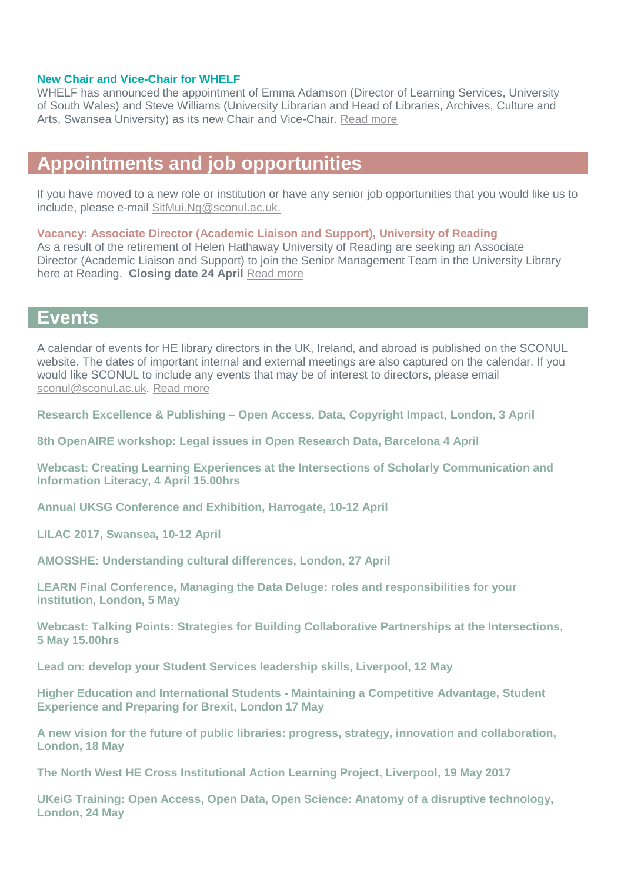#### **New Chair and Vice-Chair for WHELF**

WHELF has announced the appointment of Emma Adamson (Director of Learning Services, University of South Wales) and Steve Williams (University Librarian and Head of Libraries, Archives, Culture and Arts, Swansea University) as its new Chair and Vice-Chair. [Read more](http://whelf.ac.uk/new-chair-and-vice-chair-for-whelf/)

## **Appointments and job opportunities**

If you have moved to a new role or institution or have any senior job opportunities that you would like us to include, please e-mail [SitMui.Ng@sconul.ac.uk.](mailto:SitMui.Ng@sconul.ac.uk)

**Vacancy: Associate Director (Academic Liaison and Support), University of Reading** As a result of the retirement of Helen Hathaway University of Reading are seeking an Associate Director (Academic Liaison and Support) to join the Senior Management Team in the University Library here at Reading. **Closing date 24 April** [Read more](https://jobs.reading.ac.uk/displayjob.aspx?jobid=689)

## **Events**

A calendar of events for HE library directors in the UK, Ireland, and abroad is published on the SCONUL website. The dates of important internal and external meetings are also captured on the calendar. If you would like SCONUL to include any events that may be of interest to directors, please email [sconul@sconul.ac.uk.](mailto:sconul@sconul.ac.uk) [Read more](http://www.sconul.ac.uk/page/events-calendar-0)

**Research Excellence & Publishing – [Open Access, Data, Copyright Impact, London, 3 April](http://www.ncup.org.uk/research-excellence-and-publishing-seminar-to-be-held-at-kings-college-london-in-april-2017/)**

**[8th OpenAIRE workshop: Legal issues in Open](https://www.rd-alliance.org/openaire-workshop-legal-issues-open-research-data) Research Data, Barcelona 4 April**

**[Webcast: Creating Learning Experiences at the Intersections of Scholarly Communication and](https://www.eventbrite.co.uk/e/intersections-of-scholarly-communication-and-information-literacy-tickets-31316034101?aff=eac2)  [Information Literacy, 4 April 15.00hrs](https://www.eventbrite.co.uk/e/intersections-of-scholarly-communication-and-information-literacy-tickets-31316034101?aff=eac2)**

**[Annual UKSG Conference and Exhibition, Harrogate, 10-12 April](http://www.uksg.org/event/uksg-cfp-2017)** 

**LILAC 2017, [Swansea, 10-12 April](http://www.lilacconference.com/lilac-2017/venue-for-2017)** 

**[AMOSSHE: Understanding cultural differences, London, 27 April](http://www.amosshe.org.uk/event-2473196)**

**[LEARN Final Conference, Managing the Data Deluge: roles and responsibilities for your](http://learn-rdm.eu/en/about/)  [institution, London, 5 May](http://learn-rdm.eu/en/about/)**

**[Webcast: Talking Points: Strategies for Building Collaborative Partnerships at the Intersections,](https://www.eventbrite.co.uk/e/intersections-of-scholarly-communication-and-information-literacy-tickets-31316034101?aff=eac2)  [5 May 15.00hrs](https://www.eventbrite.co.uk/e/intersections-of-scholarly-communication-and-information-literacy-tickets-31316034101?aff=eac2)**

**[Lead on: develop your Student Services leadership skills, Liverpool, 12 May](http://www.amosshe.org.uk/event-2473199)**

**Higher Education and International Students - [Maintaining a Competitive Advantage, Student](http://www.policy-uk.com/event/2537/?g=437608)  [Experience and Preparing for Brexit, London 17 May](http://www.policy-uk.com/event/2537/?g=437608)**

**A new vision for the future [of public libraries: progress, strategy, innovation and collaboration,](http://www.publicpolicyexchange.co.uk/events/HE18-PPE?ss=em&tg=1a)  [London, 18 May](http://www.publicpolicyexchange.co.uk/events/HE18-PPE?ss=em&tg=1a)**

**[The North West HE Cross Institutional Action Learning Project, Liverpool, 19 May 2017](http://actionlearn.weebly.com/)**

**[UKeiG Training: Open Access, Open Data, Open Science: Anatomy of a disruptive technology,](https://www.cilip.org.uk/uk-einformation-group/events/ukeig-training-open-access-open-data-open-science-anatomy-disruptive-technology-0)  [London, 24 May](https://www.cilip.org.uk/uk-einformation-group/events/ukeig-training-open-access-open-data-open-science-anatomy-disruptive-technology-0)**